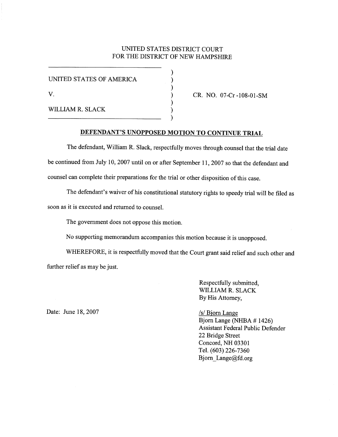## UNITED STATES DISTRICT COURT FOR THE DISTRICT OF NEW HAMPSHIRE

| UNITED STATES OF AMERICA |  |
|--------------------------|--|
| V.                       |  |
| WILLIAM R. SLACK         |  |

CR. NO. 07-Cr -108-0l-SM

## **DEFENDANT'S UNOPPOSED MOTION TO CONTINUE TRIAL**

) )

The defendant, William R. Slack, respectfully moves through counsel that the trial date be continued from July 10, 2007 until on or after September 11, 2007 so that the defendant and counsel can complete their preparations for the trial or other disposition of this case.

The defendant's waiver of his constitutional statutory rights to speedy trial will be filed as soon as it is executed and returned to counsel.

The government does not oppose this motion.

No supporting memorandum accompanies this motion because it is unopposed.

WHEREFORE, it is respectfully moved that the Court grant said relief and such other and further relief as may be just.

> Respectfully submitted, WILLIAM R. SLACK By His Attorney,

Date: June 18, 2007 /s/ Bjorn Lange

Bjorn Lange (NHBA # 1426) Assistant Federal Public Defender 22 Bridge Street Concord, NH 03301 Tel. (603) 226-7360 Bjorn Lange@fd.org